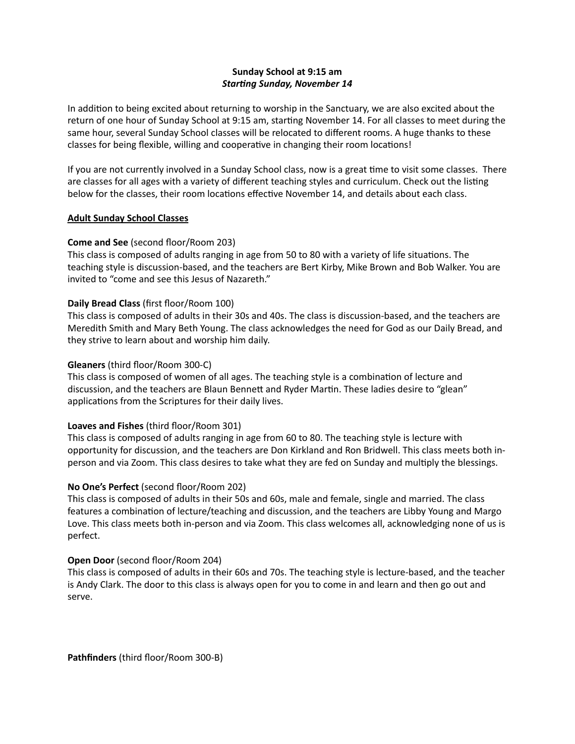# **Sunday School at 9:15 am** *Starting Sunday, November 14*

In addition to being excited about returning to worship in the Sanctuary, we are also excited about the return of one hour of Sunday School at 9:15 am, starting November 14. For all classes to meet during the same hour, several Sunday School classes will be relocated to different rooms. A huge thanks to these classes for being flexible, willing and cooperative in changing their room locations!

If you are not currently involved in a Sunday School class, now is a great time to visit some classes. There are classes for all ages with a variety of different teaching styles and curriculum. Check out the listing below for the classes, their room locations effective November 14, and details about each class.

### **Adult Sunday School Classes**

# **Come and See** (second floor/Room 203)

This class is composed of adults ranging in age from 50 to 80 with a variety of life situations. The teaching style is discussion-based, and the teachers are Bert Kirby, Mike Brown and Bob Walker. You are invited to "come and see this Jesus of Nazareth."

# **Daily Bread Class** (first floor/Room 100)

This class is composed of adults in their 30s and 40s. The class is discussion-based, and the teachers are Meredith Smith and Mary Beth Young. The class acknowledges the need for God as our Daily Bread, and they strive to learn about and worship him daily.

# **Gleaners** (third floor/Room 300-C)

This class is composed of women of all ages. The teaching style is a combination of lecture and discussion, and the teachers are Blaun Bennett and Ryder Martin. These ladies desire to "glean" applications from the Scriptures for their daily lives.

# **Loaves and Fishes** (third floor/Room 301)

This class is composed of adults ranging in age from 60 to 80. The teaching style is lecture with opportunity for discussion, and the teachers are Don Kirkland and Ron Bridwell. This class meets both inperson and via Zoom. This class desires to take what they are fed on Sunday and multiply the blessings.

# **No One's Perfect** (second floor/Room 202)

This class is composed of adults in their 50s and 60s, male and female, single and married. The class features a combination of lecture/teaching and discussion, and the teachers are Libby Young and Margo Love. This class meets both in-person and via Zoom. This class welcomes all, acknowledging none of us is perfect.

# **Open Door** (second floor/Room 204)

This class is composed of adults in their 60s and 70s. The teaching style is lecture-based, and the teacher is Andy Clark. The door to this class is always open for you to come in and learn and then go out and serve.

**Pathfinders** (third floor/Room 300-B)